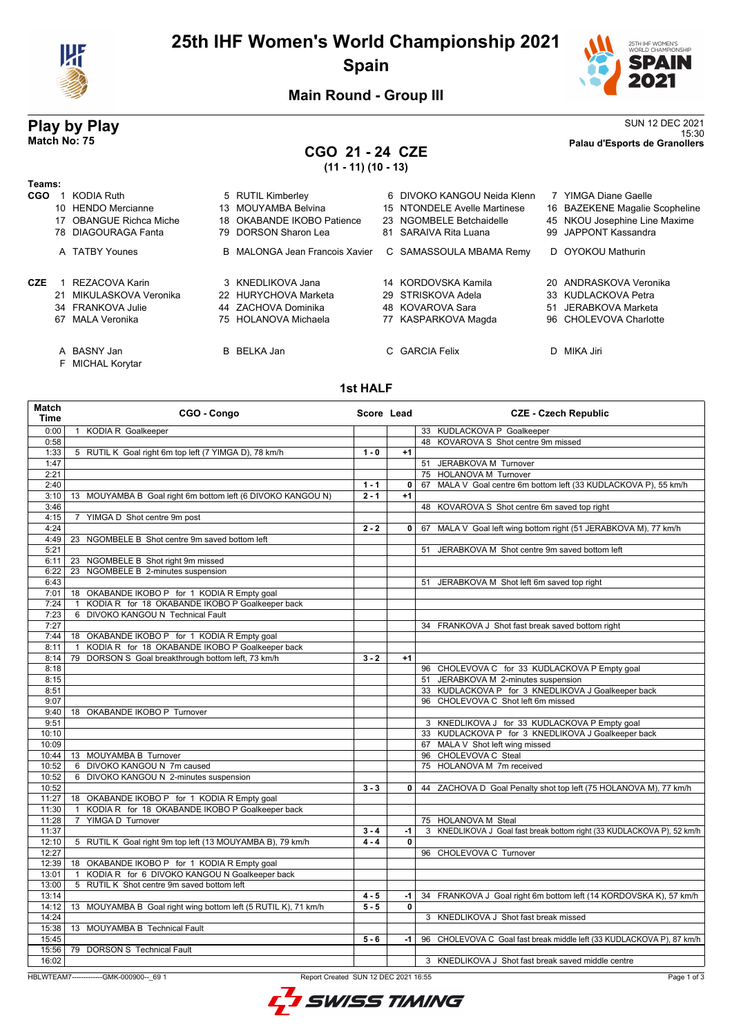

## **25th IHF Women's World Championship 2021 Spain**



15:30 **Match No: 75 Palau d'Esports de Granollers**

**Main Round - Group III**

# **Play by Play**<br>Match No: 75<br>Palau d'Esports de Granollers

# **CGO 21 - 24 CZE**

**(11 - 11) (10 - 13)**

| Teams:     |    |                                 |                                |                              |    |                                |
|------------|----|---------------------------------|--------------------------------|------------------------------|----|--------------------------------|
| <b>CGO</b> |    | <b>KODIA Ruth</b>               | 5 RUTIL Kimberley              | 6 DIVOKO KANGOU Neida Klenn  |    | YIMGA Diane Gaelle             |
|            |    | 10 HENDO Mercianne              | 13 MOUYAMBA Belvina            | 15 NTONDELE Avelle Martinese |    | 16 BAZEKENE Magalie Scopheline |
|            | 17 | <b>OBANGUE Richca Miche</b>     | 18 OKABANDE IKOBO Patience     | 23 NGOMBELE Betchaidelle     |    | 45 NKOU Josephine Line Maxime  |
|            |    | 78 DIAGOURAGA Fanta             | 79 DORSON Sharon Lea           | 81 SARAIVA Rita Luana        |    | 99 JAPPONT Kassandra           |
|            |    | A TATBY Younes                  | B MALONGA Jean Francois Xavier | C SAMASSOULA MBAMA Remy      |    | D OYOKOU Mathurin              |
| <b>CZE</b> |    | REZACOVA Karin                  | 3 KNEDLIKOVA Jana              | 14 KORDOVSKA Kamila          |    | 20 ANDRASKOVA Veronika         |
|            | 21 | MIKULASKOVA Veronika            | 22 HURYCHOVA Marketa           | 29 STRISKOVA Adela           |    | 33 KUDLACKOVA Petra            |
|            |    | 34 FRANKOVA Julie               | 44 ZACHOVA Dominika            | 48 KOVAROVA Sara             | 51 | JERABKOVA Marketa              |
|            | 67 | MALA Veronika                   | 75 HOLANOVA Michaela           | 77 KASPARKOVA Maqda          |    | 96 CHOLEVOVA Charlotte         |
|            |    | A BASNY Jan<br>F MICHAL Korytar | B BELKA Jan                    | C GARCIA Felix               | D. | MIKA Jiri                      |

### **1st HALF**

| Match<br>Time | CGO - Congo                                                                     | Score Lead |              | <b>CZE - Czech Republic</b>                                            |
|---------------|---------------------------------------------------------------------------------|------------|--------------|------------------------------------------------------------------------|
| 0:00          | 1 KODIA R Goalkeeper                                                            |            |              | 33 KUDLACKOVA P Goalkeeper                                             |
| 0:58          |                                                                                 |            |              | 48 KOVAROVA S Shot centre 9m missed                                    |
| 1:33          | 5 RUTIL K Goal right 6m top left (7 YIMGA D), 78 km/h                           | $1 - 0$    | $+1$         |                                                                        |
| 1:47          |                                                                                 |            |              | 51 JERABKOVA M Turnover                                                |
| 2:21          |                                                                                 |            |              | 75 HOLANOVA M Turnover                                                 |
| 2:40          |                                                                                 | $1 - 1$    | $\mathbf{0}$ | 67 MALA V Goal centre 6m bottom left (33 KUDLACKOVA P), 55 km/h        |
| 3:10          | 13 MOUYAMBA B Goal right 6m bottom left (6 DIVOKO KANGOU N)                     | $2 - 1$    | $+1$         |                                                                        |
| 3:46          |                                                                                 |            |              | 48 KOVAROVA S Shot centre 6m saved top right                           |
| 4:15          | 7 YIMGA D Shot centre 9m post                                                   |            |              |                                                                        |
| 4:24          |                                                                                 | $2 - 2$    | $\mathbf{0}$ | 67 MALA V Goal left wing bottom right (51 JERABKOVA M), 77 km/h        |
| 4:49          | 23 NGOMBELE B Shot centre 9m saved bottom left                                  |            |              |                                                                        |
| 5:21          |                                                                                 |            |              | 51 JERABKOVA M Shot centre 9m saved bottom left                        |
| 6:11          | 23 NGOMBELE B Shot right 9m missed                                              |            |              |                                                                        |
| 6:22          | 23 NGOMBELE B 2-minutes suspension                                              |            |              |                                                                        |
| 6:43          |                                                                                 |            |              | 51 JERABKOVA M Shot left 6m saved top right                            |
| 7:01          | 18 OKABANDE IKOBO P for 1 KODIA R Empty goal                                    |            |              |                                                                        |
| 7:24          | 1 KODIA R for 18 OKABANDE IKOBO P Goalkeeper back                               |            |              |                                                                        |
| 7:23          | 6 DIVOKO KANGOU N Technical Fault                                               |            |              |                                                                        |
| 7:27          |                                                                                 |            |              | 34 FRANKOVA J Shot fast break saved bottom right                       |
| 7:44          | 18 OKABANDE IKOBO P for 1 KODIA R Empty goal                                    |            |              |                                                                        |
| 8:11          | KODIA R for 18 OKABANDE IKOBO P Goalkeeper back<br>$\mathbf{1}$                 |            |              |                                                                        |
| 8:14          | 79 DORSON S Goal breakthrough bottom left, 73 km/h                              | $3 - 2$    | $+1$         |                                                                        |
| 8:18          |                                                                                 |            |              | 96 CHOLEVOVA C for 33 KUDLACKOVA P Empty goal                          |
| 8:15          |                                                                                 |            |              | 51 JERABKOVA M 2-minutes suspension                                    |
| 8:51          |                                                                                 |            |              | 33 KUDLACKOVA P for 3 KNEDLIKOVA J Goalkeeper back                     |
| 9:07          |                                                                                 |            |              | 96 CHOLEVOVA C Shot left 6m missed                                     |
| 9:40          | 18 OKABANDE IKOBO P Turnover                                                    |            |              |                                                                        |
| 9:51          |                                                                                 |            |              | 3 KNEDLIKOVA J for 33 KUDLACKOVA P Empty goal                          |
| 10:10         |                                                                                 |            |              | 33 KUDLACKOVA P for 3 KNEDLIKOVA J Goalkeeper back                     |
| 10:09         |                                                                                 |            |              | 67 MALA V Shot left wing missed                                        |
| 10:44         | 13 MOUYAMBA B Turnover                                                          |            |              | 96 CHOLEVOVA C Steal                                                   |
| 10:52         | 6 DIVOKO KANGOU N 7m caused                                                     |            |              | 75 HOLANOVA M 7m received                                              |
| 10:52         | 6 DIVOKO KANGOU N 2-minutes suspension                                          |            |              |                                                                        |
| 10:52         |                                                                                 | $3 - 3$    | $\mathbf{0}$ | 44 ZACHOVA D Goal Penalty shot top left (75 HOLANOVA M), 77 km/h       |
| 11:27         | 18 OKABANDE IKOBO P for 1 KODIA R Empty goal                                    |            |              |                                                                        |
| 11:30         | KODIA R for 18 OKABANDE IKOBO P Goalkeeper back<br>$\mathbf{1}$                 |            |              |                                                                        |
| 11:28         | YIMGA D Turnover<br>$\overline{7}$                                              |            |              | 75 HOLANOVA M Steal                                                    |
| 11:37         |                                                                                 | $3 - 4$    | $-1$         | 3 KNEDLIKOVA J Goal fast break bottom right (33 KUDLACKOVA P), 52 km/h |
| 12:10         | 5 RUTIL K Goal right 9m top left (13 MOUYAMBA B), 79 km/h                       | $4 - 4$    | $\mathbf{0}$ |                                                                        |
| 12:27         |                                                                                 |            |              | 96 CHOLEVOVA C Turnover                                                |
| 12:39         | 18 OKABANDE IKOBO P for 1 KODIA R Empty goal                                    |            |              |                                                                        |
| 13:01         | 1 KODIA R for 6 DIVOKO KANGOU N Goalkeeper back                                 |            |              |                                                                        |
| 13:00         | 5 RUTIL K Shot centre 9m saved bottom left                                      |            |              |                                                                        |
| 13:14         |                                                                                 | $4 - 5$    | $-1$         | 34 FRANKOVA J Goal right 6m bottom left (14 KORDOVSKA K), 57 km/h      |
| 14:12         | 13 MOUYAMBA B Goal right wing bottom left (5 RUTIL K), 71 km/h                  | $5 - 5$    | $\mathbf{0}$ |                                                                        |
| 14:24         |                                                                                 |            |              | 3 KNEDLIKOVA J Shot fast break missed                                  |
|               | 15:38   13 MOUYAMBA B Technical Fault                                           |            |              |                                                                        |
| 15:45         |                                                                                 | $5 - 6$    | $-1$         | 96 CHOLEVOVA C Goal fast break middle left (33 KUDLACKOVA P), 87 km/h  |
|               | 15:56   79 DORSON S Technical Fault                                             |            |              |                                                                        |
| 16:02         |                                                                                 |            |              | 3 KNEDLIKOVA J Shot fast break saved middle centre                     |
|               | HBLWTEAM7-------------GMK-000900-- 69 1<br>Report Created SUN 12 DEC 2021 16:55 |            |              | Page 1 of 3                                                            |

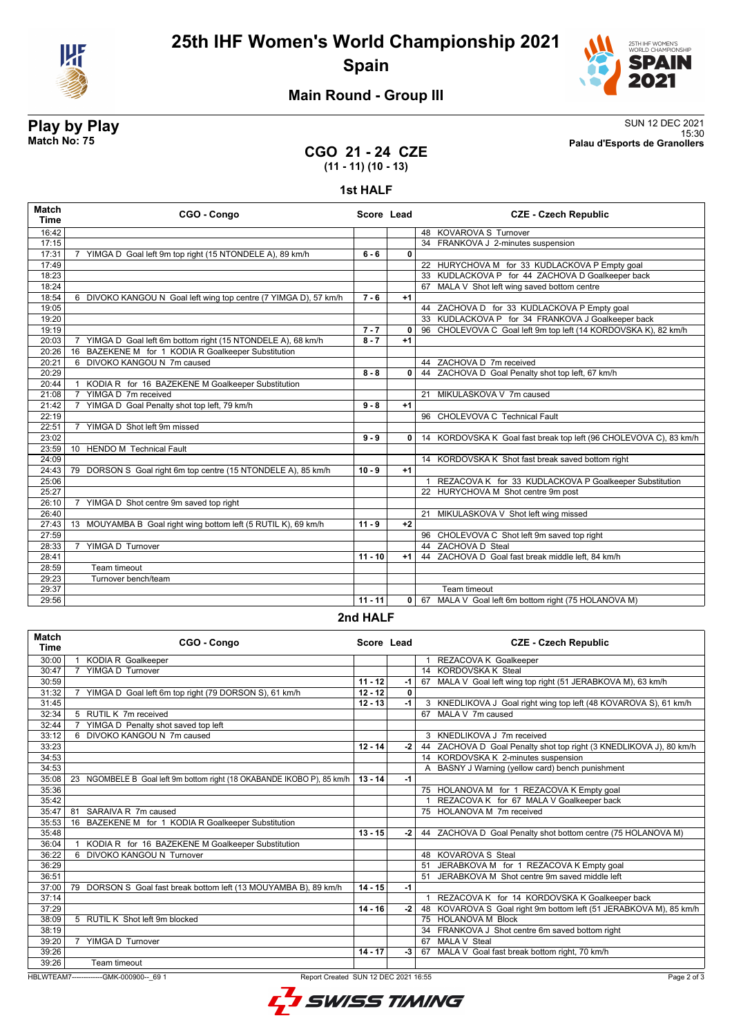



### **Main Round - Group III**

# **CGO 21 - 24 CZE**

**Play by Play**<br>Match No: 75<br>Palau d'Esports de Granollers 15:30 **Match No: 75 Palau d'Esports de Granollers**

# **(11 - 11) (10 - 13)**

#### **1st HALF**

| 16:42<br>48 KOVAROVA S Turnover<br>17:15<br>34 FRANKOVA J 2-minutes suspension<br>17:31<br>7 YIMGA D Goal left 9m top right (15 NTONDELE A), 89 km/h<br>$6 - 6$<br>0<br>17:49<br>22 HURYCHOVA M for 33 KUDLACKOVA P Empty goal<br>18:23<br>33 KUDLACKOVA P for 44 ZACHOVA D Goalkeeper back<br>67 MALA V Shot left wing saved bottom centre<br>18:24<br>18:54<br>$7 - 6$<br>6 DIVOKO KANGOU N Goal left wing top centre (7 YIMGA D), 57 km/h<br>$+1$<br>19:05<br>44 ZACHOVA D for 33 KUDLACKOVA P Empty goal<br>33 KUDLACKOVA P for 34 FRANKOVA J Goalkeeper back<br>19:20<br>96 CHOLEVOVA C Goal left 9m top left (14 KORDOVSKA K), 82 km/h<br>19:19<br>$7 - 7$<br>0<br>$8 - 7$<br>20:03<br>YIMGA D Goal left 6m bottom right (15 NTONDELE A), 68 km/h<br>$+1$<br>16 BAZEKENE M for 1 KODIA R Goalkeeper Substitution<br>20:26<br>6 DIVOKO KANGOU N 7m caused<br>44 ZACHOVA D 7m received<br>20:21<br>20:29<br>44 ZACHOVA D Goal Penalty shot top left, 67 km/h<br>$8 - 8$<br>$\mathbf{0}$<br>KODIA R for 16 BAZEKENE M Goalkeeper Substitution<br>20:44<br>21 MIKULASKOVA V 7m caused<br>YIMGA D 7m received<br>21:08<br>$\overline{7}$<br>7 YIMGA D Goal Penalty shot top left, 79 km/h<br>$+1$<br>21:42<br>$9 - 8$<br>22:19<br>96 CHOLEVOVA C Technical Fault<br>7 YIMGA D Shot left 9m missed<br>22:51<br>23:02<br>$9 - 9$<br>14 KORDOVSKA K Goal fast break top left (96 CHOLEVOVA C), 83 km/h<br>0 <sup>1</sup><br>10 HENDO M Technical Fault<br>23:59<br>24:09<br>14 KORDOVSKA K Shot fast break saved bottom right<br>79 DORSON S Goal right 6m top centre (15 NTONDELE A), 85 km/h<br>$10 - 9$<br>24:43<br>$+1$<br>25:06<br>REZACOVA K for 33 KUDLACKOVA P Goalkeeper Substitution<br>25:27<br>22 HURYCHOVA M Shot centre 9m post<br>26:10<br>$\overline{7}$<br>YIMGA D Shot centre 9m saved top right<br>26:40<br>21 MIKULASKOVA V Shot left wing missed<br>13 MOUYAMBA B Goal right wing bottom left (5 RUTIL K), 69 km/h<br>$11 - 9$<br>$+2$<br>27:43<br>27:59<br>96 CHOLEVOVA C Shot left 9m saved top right<br>7 YIMGA D Turnover<br>44 ZACHOVA D Steal<br>28:33<br>28:41<br>$11 - 10$<br>44 ZACHOVA D Goal fast break middle left, 84 km/h<br>$+1$<br>28:59<br>Team timeout<br>29:23<br>Turnover bench/team<br>29:37<br>Team timeout<br>29:56<br>0 67 MALA V Goal left 6m bottom right (75 HOLANOVA M)<br>$11 - 11$ | <b>Match</b><br><b>Time</b> | CGO - Congo | Score Lead | <b>CZE - Czech Republic</b> |
|-------------------------------------------------------------------------------------------------------------------------------------------------------------------------------------------------------------------------------------------------------------------------------------------------------------------------------------------------------------------------------------------------------------------------------------------------------------------------------------------------------------------------------------------------------------------------------------------------------------------------------------------------------------------------------------------------------------------------------------------------------------------------------------------------------------------------------------------------------------------------------------------------------------------------------------------------------------------------------------------------------------------------------------------------------------------------------------------------------------------------------------------------------------------------------------------------------------------------------------------------------------------------------------------------------------------------------------------------------------------------------------------------------------------------------------------------------------------------------------------------------------------------------------------------------------------------------------------------------------------------------------------------------------------------------------------------------------------------------------------------------------------------------------------------------------------------------------------------------------------------------------------------------------------------------------------------------------------------------------------------------------------------------------------------------------------------------------------------------------------------------------------------------------------------------------------------------------------------------------------------------------------------------------------------------------------------------------|-----------------------------|-------------|------------|-----------------------------|
|                                                                                                                                                                                                                                                                                                                                                                                                                                                                                                                                                                                                                                                                                                                                                                                                                                                                                                                                                                                                                                                                                                                                                                                                                                                                                                                                                                                                                                                                                                                                                                                                                                                                                                                                                                                                                                                                                                                                                                                                                                                                                                                                                                                                                                                                                                                                     |                             |             |            |                             |
|                                                                                                                                                                                                                                                                                                                                                                                                                                                                                                                                                                                                                                                                                                                                                                                                                                                                                                                                                                                                                                                                                                                                                                                                                                                                                                                                                                                                                                                                                                                                                                                                                                                                                                                                                                                                                                                                                                                                                                                                                                                                                                                                                                                                                                                                                                                                     |                             |             |            |                             |
|                                                                                                                                                                                                                                                                                                                                                                                                                                                                                                                                                                                                                                                                                                                                                                                                                                                                                                                                                                                                                                                                                                                                                                                                                                                                                                                                                                                                                                                                                                                                                                                                                                                                                                                                                                                                                                                                                                                                                                                                                                                                                                                                                                                                                                                                                                                                     |                             |             |            |                             |
|                                                                                                                                                                                                                                                                                                                                                                                                                                                                                                                                                                                                                                                                                                                                                                                                                                                                                                                                                                                                                                                                                                                                                                                                                                                                                                                                                                                                                                                                                                                                                                                                                                                                                                                                                                                                                                                                                                                                                                                                                                                                                                                                                                                                                                                                                                                                     |                             |             |            |                             |
|                                                                                                                                                                                                                                                                                                                                                                                                                                                                                                                                                                                                                                                                                                                                                                                                                                                                                                                                                                                                                                                                                                                                                                                                                                                                                                                                                                                                                                                                                                                                                                                                                                                                                                                                                                                                                                                                                                                                                                                                                                                                                                                                                                                                                                                                                                                                     |                             |             |            |                             |
|                                                                                                                                                                                                                                                                                                                                                                                                                                                                                                                                                                                                                                                                                                                                                                                                                                                                                                                                                                                                                                                                                                                                                                                                                                                                                                                                                                                                                                                                                                                                                                                                                                                                                                                                                                                                                                                                                                                                                                                                                                                                                                                                                                                                                                                                                                                                     |                             |             |            |                             |
|                                                                                                                                                                                                                                                                                                                                                                                                                                                                                                                                                                                                                                                                                                                                                                                                                                                                                                                                                                                                                                                                                                                                                                                                                                                                                                                                                                                                                                                                                                                                                                                                                                                                                                                                                                                                                                                                                                                                                                                                                                                                                                                                                                                                                                                                                                                                     |                             |             |            |                             |
|                                                                                                                                                                                                                                                                                                                                                                                                                                                                                                                                                                                                                                                                                                                                                                                                                                                                                                                                                                                                                                                                                                                                                                                                                                                                                                                                                                                                                                                                                                                                                                                                                                                                                                                                                                                                                                                                                                                                                                                                                                                                                                                                                                                                                                                                                                                                     |                             |             |            |                             |
|                                                                                                                                                                                                                                                                                                                                                                                                                                                                                                                                                                                                                                                                                                                                                                                                                                                                                                                                                                                                                                                                                                                                                                                                                                                                                                                                                                                                                                                                                                                                                                                                                                                                                                                                                                                                                                                                                                                                                                                                                                                                                                                                                                                                                                                                                                                                     |                             |             |            |                             |
|                                                                                                                                                                                                                                                                                                                                                                                                                                                                                                                                                                                                                                                                                                                                                                                                                                                                                                                                                                                                                                                                                                                                                                                                                                                                                                                                                                                                                                                                                                                                                                                                                                                                                                                                                                                                                                                                                                                                                                                                                                                                                                                                                                                                                                                                                                                                     |                             |             |            |                             |
|                                                                                                                                                                                                                                                                                                                                                                                                                                                                                                                                                                                                                                                                                                                                                                                                                                                                                                                                                                                                                                                                                                                                                                                                                                                                                                                                                                                                                                                                                                                                                                                                                                                                                                                                                                                                                                                                                                                                                                                                                                                                                                                                                                                                                                                                                                                                     |                             |             |            |                             |
|                                                                                                                                                                                                                                                                                                                                                                                                                                                                                                                                                                                                                                                                                                                                                                                                                                                                                                                                                                                                                                                                                                                                                                                                                                                                                                                                                                                                                                                                                                                                                                                                                                                                                                                                                                                                                                                                                                                                                                                                                                                                                                                                                                                                                                                                                                                                     |                             |             |            |                             |
|                                                                                                                                                                                                                                                                                                                                                                                                                                                                                                                                                                                                                                                                                                                                                                                                                                                                                                                                                                                                                                                                                                                                                                                                                                                                                                                                                                                                                                                                                                                                                                                                                                                                                                                                                                                                                                                                                                                                                                                                                                                                                                                                                                                                                                                                                                                                     |                             |             |            |                             |
|                                                                                                                                                                                                                                                                                                                                                                                                                                                                                                                                                                                                                                                                                                                                                                                                                                                                                                                                                                                                                                                                                                                                                                                                                                                                                                                                                                                                                                                                                                                                                                                                                                                                                                                                                                                                                                                                                                                                                                                                                                                                                                                                                                                                                                                                                                                                     |                             |             |            |                             |
|                                                                                                                                                                                                                                                                                                                                                                                                                                                                                                                                                                                                                                                                                                                                                                                                                                                                                                                                                                                                                                                                                                                                                                                                                                                                                                                                                                                                                                                                                                                                                                                                                                                                                                                                                                                                                                                                                                                                                                                                                                                                                                                                                                                                                                                                                                                                     |                             |             |            |                             |
|                                                                                                                                                                                                                                                                                                                                                                                                                                                                                                                                                                                                                                                                                                                                                                                                                                                                                                                                                                                                                                                                                                                                                                                                                                                                                                                                                                                                                                                                                                                                                                                                                                                                                                                                                                                                                                                                                                                                                                                                                                                                                                                                                                                                                                                                                                                                     |                             |             |            |                             |
|                                                                                                                                                                                                                                                                                                                                                                                                                                                                                                                                                                                                                                                                                                                                                                                                                                                                                                                                                                                                                                                                                                                                                                                                                                                                                                                                                                                                                                                                                                                                                                                                                                                                                                                                                                                                                                                                                                                                                                                                                                                                                                                                                                                                                                                                                                                                     |                             |             |            |                             |
|                                                                                                                                                                                                                                                                                                                                                                                                                                                                                                                                                                                                                                                                                                                                                                                                                                                                                                                                                                                                                                                                                                                                                                                                                                                                                                                                                                                                                                                                                                                                                                                                                                                                                                                                                                                                                                                                                                                                                                                                                                                                                                                                                                                                                                                                                                                                     |                             |             |            |                             |
|                                                                                                                                                                                                                                                                                                                                                                                                                                                                                                                                                                                                                                                                                                                                                                                                                                                                                                                                                                                                                                                                                                                                                                                                                                                                                                                                                                                                                                                                                                                                                                                                                                                                                                                                                                                                                                                                                                                                                                                                                                                                                                                                                                                                                                                                                                                                     |                             |             |            |                             |
|                                                                                                                                                                                                                                                                                                                                                                                                                                                                                                                                                                                                                                                                                                                                                                                                                                                                                                                                                                                                                                                                                                                                                                                                                                                                                                                                                                                                                                                                                                                                                                                                                                                                                                                                                                                                                                                                                                                                                                                                                                                                                                                                                                                                                                                                                                                                     |                             |             |            |                             |
|                                                                                                                                                                                                                                                                                                                                                                                                                                                                                                                                                                                                                                                                                                                                                                                                                                                                                                                                                                                                                                                                                                                                                                                                                                                                                                                                                                                                                                                                                                                                                                                                                                                                                                                                                                                                                                                                                                                                                                                                                                                                                                                                                                                                                                                                                                                                     |                             |             |            |                             |
|                                                                                                                                                                                                                                                                                                                                                                                                                                                                                                                                                                                                                                                                                                                                                                                                                                                                                                                                                                                                                                                                                                                                                                                                                                                                                                                                                                                                                                                                                                                                                                                                                                                                                                                                                                                                                                                                                                                                                                                                                                                                                                                                                                                                                                                                                                                                     |                             |             |            |                             |
|                                                                                                                                                                                                                                                                                                                                                                                                                                                                                                                                                                                                                                                                                                                                                                                                                                                                                                                                                                                                                                                                                                                                                                                                                                                                                                                                                                                                                                                                                                                                                                                                                                                                                                                                                                                                                                                                                                                                                                                                                                                                                                                                                                                                                                                                                                                                     |                             |             |            |                             |
|                                                                                                                                                                                                                                                                                                                                                                                                                                                                                                                                                                                                                                                                                                                                                                                                                                                                                                                                                                                                                                                                                                                                                                                                                                                                                                                                                                                                                                                                                                                                                                                                                                                                                                                                                                                                                                                                                                                                                                                                                                                                                                                                                                                                                                                                                                                                     |                             |             |            |                             |
|                                                                                                                                                                                                                                                                                                                                                                                                                                                                                                                                                                                                                                                                                                                                                                                                                                                                                                                                                                                                                                                                                                                                                                                                                                                                                                                                                                                                                                                                                                                                                                                                                                                                                                                                                                                                                                                                                                                                                                                                                                                                                                                                                                                                                                                                                                                                     |                             |             |            |                             |
|                                                                                                                                                                                                                                                                                                                                                                                                                                                                                                                                                                                                                                                                                                                                                                                                                                                                                                                                                                                                                                                                                                                                                                                                                                                                                                                                                                                                                                                                                                                                                                                                                                                                                                                                                                                                                                                                                                                                                                                                                                                                                                                                                                                                                                                                                                                                     |                             |             |            |                             |
|                                                                                                                                                                                                                                                                                                                                                                                                                                                                                                                                                                                                                                                                                                                                                                                                                                                                                                                                                                                                                                                                                                                                                                                                                                                                                                                                                                                                                                                                                                                                                                                                                                                                                                                                                                                                                                                                                                                                                                                                                                                                                                                                                                                                                                                                                                                                     |                             |             |            |                             |
|                                                                                                                                                                                                                                                                                                                                                                                                                                                                                                                                                                                                                                                                                                                                                                                                                                                                                                                                                                                                                                                                                                                                                                                                                                                                                                                                                                                                                                                                                                                                                                                                                                                                                                                                                                                                                                                                                                                                                                                                                                                                                                                                                                                                                                                                                                                                     |                             |             |            |                             |
|                                                                                                                                                                                                                                                                                                                                                                                                                                                                                                                                                                                                                                                                                                                                                                                                                                                                                                                                                                                                                                                                                                                                                                                                                                                                                                                                                                                                                                                                                                                                                                                                                                                                                                                                                                                                                                                                                                                                                                                                                                                                                                                                                                                                                                                                                                                                     |                             |             |            |                             |
|                                                                                                                                                                                                                                                                                                                                                                                                                                                                                                                                                                                                                                                                                                                                                                                                                                                                                                                                                                                                                                                                                                                                                                                                                                                                                                                                                                                                                                                                                                                                                                                                                                                                                                                                                                                                                                                                                                                                                                                                                                                                                                                                                                                                                                                                                                                                     |                             |             |            |                             |
|                                                                                                                                                                                                                                                                                                                                                                                                                                                                                                                                                                                                                                                                                                                                                                                                                                                                                                                                                                                                                                                                                                                                                                                                                                                                                                                                                                                                                                                                                                                                                                                                                                                                                                                                                                                                                                                                                                                                                                                                                                                                                                                                                                                                                                                                                                                                     |                             |             |            |                             |
|                                                                                                                                                                                                                                                                                                                                                                                                                                                                                                                                                                                                                                                                                                                                                                                                                                                                                                                                                                                                                                                                                                                                                                                                                                                                                                                                                                                                                                                                                                                                                                                                                                                                                                                                                                                                                                                                                                                                                                                                                                                                                                                                                                                                                                                                                                                                     |                             |             |            |                             |
|                                                                                                                                                                                                                                                                                                                                                                                                                                                                                                                                                                                                                                                                                                                                                                                                                                                                                                                                                                                                                                                                                                                                                                                                                                                                                                                                                                                                                                                                                                                                                                                                                                                                                                                                                                                                                                                                                                                                                                                                                                                                                                                                                                                                                                                                                                                                     |                             |             |            |                             |
|                                                                                                                                                                                                                                                                                                                                                                                                                                                                                                                                                                                                                                                                                                                                                                                                                                                                                                                                                                                                                                                                                                                                                                                                                                                                                                                                                                                                                                                                                                                                                                                                                                                                                                                                                                                                                                                                                                                                                                                                                                                                                                                                                                                                                                                                                                                                     |                             |             |            |                             |
|                                                                                                                                                                                                                                                                                                                                                                                                                                                                                                                                                                                                                                                                                                                                                                                                                                                                                                                                                                                                                                                                                                                                                                                                                                                                                                                                                                                                                                                                                                                                                                                                                                                                                                                                                                                                                                                                                                                                                                                                                                                                                                                                                                                                                                                                                                                                     |                             |             |            |                             |

#### **2nd HALF**

| <b>Match</b><br>Time | CGO - Congo                                                            | Score Lead |      |                 | <b>CZE - Czech Republic</b>                                        |
|----------------------|------------------------------------------------------------------------|------------|------|-----------------|--------------------------------------------------------------------|
| 30:00                | <b>KODIA R Goalkeeper</b>                                              |            |      |                 | REZACOVA K Goalkeeper                                              |
| 30:47                | YIMGA D Turnover                                                       |            |      |                 | 14 KORDOVSKA K Steal                                               |
| 30:59                |                                                                        | $11 - 12$  | -1 l |                 | 67 MALA V Goal left wing top right (51 JERABKOVA M), 63 km/h       |
| 31:32                | YIMGA D Goal left 6m top right (79 DORSON S), 61 km/h                  | $12 - 12$  | 0    |                 |                                                                    |
| 31:45                |                                                                        | $12 - 13$  | $-1$ |                 | 3 KNEDLIKOVA J Goal right wing top left (48 KOVAROVA S), 61 km/h   |
| 32:34                | 5 RUTIL K 7m received                                                  |            |      |                 | 67 MALA V 7m caused                                                |
| 32:44                | YIMGA D Penalty shot saved top left                                    |            |      |                 |                                                                    |
| 33:12                | 6 DIVOKO KANGOU N 7m caused                                            |            |      |                 | 3 KNEDLIKOVA J 7m received                                         |
| 33:23                |                                                                        | $12 - 14$  | $-2$ |                 | 44 ZACHOVA D Goal Penalty shot top right (3 KNEDLIKOVA J), 80 km/h |
| 34:53                |                                                                        |            |      |                 | 14 KORDOVSKA K 2-minutes suspension                                |
| 34:53                |                                                                        |            |      |                 | A BASNY J Warning (yellow card) bench punishment                   |
| 35:08                | 23 NGOMBELE B Goal left 9m bottom right (18 OKABANDE IKOBO P), 85 km/h | $13 - 14$  | $-1$ |                 |                                                                    |
| 35:36                |                                                                        |            |      |                 | 75 HOLANOVA M for 1 REZACOVA K Empty goal                          |
| 35:42                |                                                                        |            |      |                 | REZACOVA K for 67 MALA V Goalkeeper back                           |
| 35:47                | 81 SARAIVA R 7m caused                                                 |            |      |                 | 75 HOLANOVA M 7m received                                          |
| 35:53                | 16 BAZEKENE M for 1 KODIA R Goalkeeper Substitution                    |            |      |                 |                                                                    |
| 35:48                |                                                                        | $13 - 15$  | $-2$ |                 | 44 ZACHOVA D Goal Penalty shot bottom centre (75 HOLANOVA M)       |
| 36:04                | 1 KODIA R for 16 BAZEKENE M Goalkeeper Substitution                    |            |      |                 |                                                                    |
| 36:22                | 6 DIVOKO KANGOU N Turnover                                             |            |      |                 | 48 KOVAROVA S Steal                                                |
| 36:29                |                                                                        |            |      |                 | 51 JERABKOVA M for 1 REZACOVA K Empty goal                         |
| 36:51                |                                                                        |            |      |                 | 51 JERABKOVA M Shot centre 9m saved middle left                    |
| 37:00                | 79 DORSON S Goal fast break bottom left (13 MOUYAMBA B), 89 km/h       | $14 - 15$  | $-1$ |                 |                                                                    |
| 37:14                |                                                                        |            |      |                 | REZACOVA K for 14 KORDOVSKA K Goalkeeper back                      |
| 37:29                |                                                                        | $14 - 16$  | $-2$ |                 | 48 KOVAROVA S Goal right 9m bottom left (51 JERABKOVA M), 85 km/h  |
| 38:09                | 5 RUTIL K Shot left 9m blocked                                         |            |      |                 | 75 HOLANOVA M Block                                                |
| 38:19                |                                                                        |            |      |                 | 34 FRANKOVA J Shot centre 6m saved bottom right                    |
| 39:20                | YIMGA D Turnover                                                       |            |      | 67 MALA V Steal |                                                                    |
| 39:26                |                                                                        | $14 - 17$  | -3   |                 | 67 MALA V Goal fast break bottom right, 70 km/h                    |
| 39:26                | Team timeout                                                           |            |      |                 |                                                                    |

HBLWTEAM7-------------GMK-000900--\_69 1 Report Created SUN 12 DEC 2021 16:55